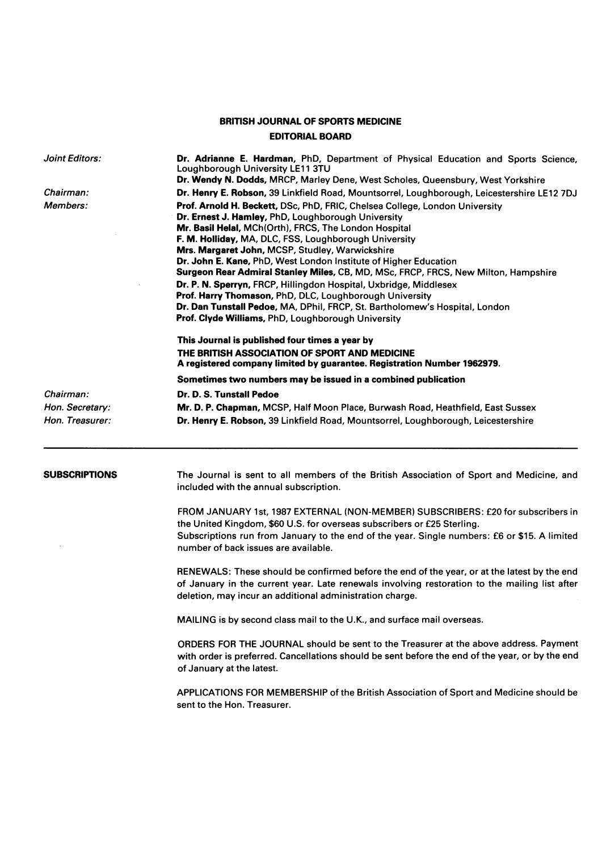## BRITISH JOURNAL OF SPORTS MEDICINE EDITORIAL BOARD

Joint Editors: Chairman: Members: Chairman: Hon. Secretary: Hon. Treasurer: Dr. Adrianne E. Hardman, PhD, Department of Physical Education and Sports Science, Loughborough University LE11 3TU Dr. Wendy N. Dodds, MRCP, Marley Dene, West Scholes, Queensbury, West Yorkshire Dr. Henry E. Robson, 39 Linkfield Road, Mountsorrel, Loughborough, Leicestershire LE12 7DJ Prof. Arnold H. Beckett, DSc, PhD, FRIC, Chelsea College, London University Dr. Ernest J. Hamley, PhD, Loughborough University Mr. Basil Helal, MCh(Orth), FRCS, The London Hospital F. M. Holliday, MA, DLC, FSS, Loughborough University Mrs. Margaret John, MCSP, Studley, Warwickshire Dr. John E. Kane, PhD, West London Institute of Higher Education Surgeon Rear Admiral Stanley Miles, CB, MD, MSc, FRCP, FRCS, New Milton, Hampshire Dr. P. N. Sperryn, FRCP, Hillingdon Hospital, Uxbridge, Middlesex Prof. Harry Thomason, PhD, DLC, Loughborough University Dr. Dan Tunstall Pedoe, MA, DPhil, FRCP, St. Bartholomew's Hospital, London Prof. Clyde Williams, PhD, Loughborough University This Journal is published four times a year by THE BRITISH ASSOCIATION OF SPORT AND MEDICINE A registered company limited by guarantee. Registration Number 1962979. Sometimes two numbers may be issued in a combined publication Dr. D. S. Tunstall Pedoe Mr. D. P. Chapman, MCSP, Half Moon Place, Burwash Road, Heathfield, East Sussex Dr. Henry E. Robson, 39 Linkfield Road, Mountsorrel, Loughborough, Leicestershire

SUBSCRIPTIONS The Journal is sent to all members of the British Association of Sport and Medicine, and included with the annual subscription.

> FROM JANUARY 1st, 1987 EXTERNAL (NON-MEMBER) SUBSCRIBERS: £20 for subscribers in the United Kingdom, \$60 U.S. for overseas subscribers or £25 Sterling. Subscriptions run from January to the end of the year. Single numbers: £6 or \$15. A limited number of back issues are available.

> RENEWALS: These should be confirmed before the end of the year, or at the latest by the end of January in the current year. Late renewals involving restoration to the mailing list after deletion, may incur an additional administration charge.

MAILING is by second class mail to the U.K., and surface mail overseas.

ORDERS FOR THE JOURNAL should be sent to the Treasurer at the above address. Payment with order is preferred. Cancellations should be sent before the end of the year, or by the end of January at the latest.

APPLICATIONS FOR MEMBERSHIP of the British Association of Sport and Medicine should be sent to the Hon. Treasurer.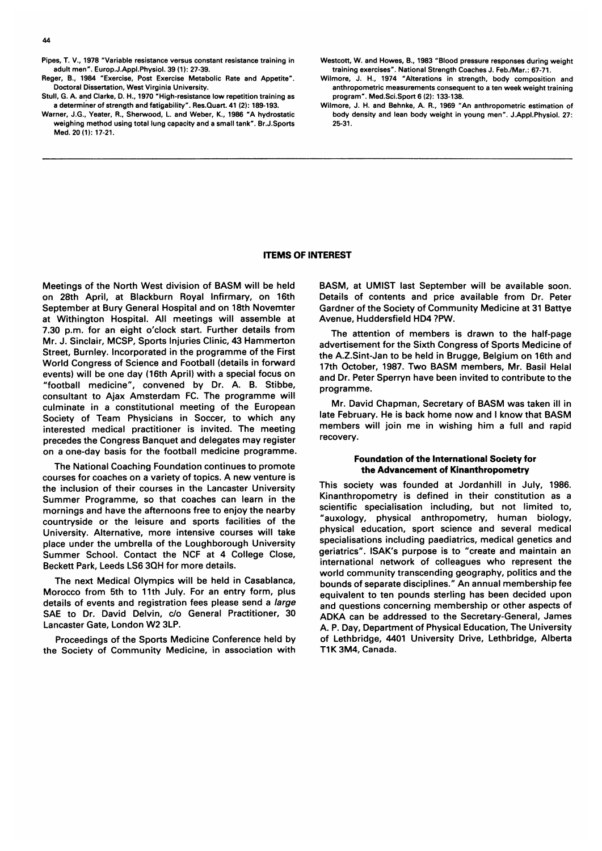- Pipes, T. V., 1978 'Variable resistance versus constant resistance training in adult men". Europ.J.Appl.Physiol. 39 (1): 27-39.
- Reger, B., 1984 "Exercise, Post Exercise Metabolic Rate and Appetite". Doctoral Dissertation, West Virginia University.
- Stull, G. A. and Clarke, D. H., 1970 "High-resistance low repetition training as a determiner of strength and fatigability". Res.Quart. 41 (2): 189-193.
- Warner, J.G., Yeater, R., Sherwood, L. and Weber, K., 1986 'A hydrostatic weighing method using total lung capacity and a small tank". Br.J.Sports Med. 20 (1): 17-21.

Westcott, W. and Howes, B., 1983 "Blood pressure responses during weight training exercises". National Strength Coaches J. Feb./Mar.: 67-71.

- Wilmore, J. H., 1974 'Alterations in strength, body composition and anthropometric measurements consequent to a ten week weight training program". Med.Sci.Sport 6 (2): 133-138.
- Wilmore, J. H. and Behnke, A. R., 1969 "An anthropometric estimation of body density and lean body weight in young men". J.Appl.Physiol. 27: 25-31.

#### ITEMS OF INTEREST

Meetings of the North West division of BASM will be held on 28th April, at Blackburn Royal Infirmary, on 16th September at Bury General Hospital and on 18th Novemter at Withington Hospital. All meetings will assemble at 7.30 p.m. for an eight o'clock start. Further details from Mr. J. Sinclair, MCSP, Sports Injuries Clinic, 43 Hammerton Street, Burnley. Incorporated in the programme of the First World Congress of Science and Football (details in forward events) will be one day (16th April) with a special focus on "football medicine", convened by Dr. A. B. Stibbe, consultant to Ajax Amsterdam FC. The programme will culminate in a constitutional meeting of the European Society of Team Physicians in Soccer, to which any interested medical practitioner is invited. The meeting precedes the Congress Banquet and delegates may register on a one-day basis for the football medicine programme.

The National Coaching Foundation continues to promote courses for coaches on <sup>a</sup> variety of topics. A new venture is the inclusion of their courses in the Lancaster University Summer Programme, so that coaches can learn in the mornings and have the afternoons free to enjoy the nearby countryside or the leisure and sports facilities of the University. Alternative, more intensive courses will take place under the umbrella of the Loughborough University Summer School. Contact the NCF at 4 College Close, Beckett Park, Leeds LS6 3QH for more details.

The next Medical Olympics will be held in Casablanca, Morocco from 5th to 11th July. For an entry form, plus details of events and registration fees please send a large SAE to Dr. David Delvin, c/o General Practitioner, 30 Lancaster Gate, London W2 3LP.

Proceedings of the Sports Medicine Conference held by the Society of Community Medicine, in association with

BASM, at UMIST last September will be available soon. Details of contents and price available from Dr. Peter Gardner of the Society of Community Medicine at 31 Battye Avenue, Huddersfield HD4 ?PW.

The attention of members is drawn to the half-page advertisement for the Sixth Congress of Sports Medicine of the A.Z.Sint-Jan to be held in Brugge, Belgium on 16th and 17th October, 1987. Two BASM members, Mr. Basil Helal and Dr. Peter Sperryn have been invited to contribute to the programme.

Mr. David Chapman, Secretary of BASM was taken ill in late February. He is back home now and <sup>I</sup> know that BASM members will join me in wishing him <sup>a</sup> full and rapid recovery.

#### Foundation of the International Society for the Advancement of Kinanthropometry

This society was founded at Jordanhill in July, 1986. Kinanthropometry is defined in their constitution as a scientific specialisation including, but not limited to, "auxology, physical anthropometry, human biology, physical education, sport science and several medical specialisations including paediatrics, medical genetics and geriatrics". ISAK's purpose is to "create and maintain an international network of colleagues who represent the world community transcending geography, politics and the bounds of separate disciplines." An annual membership fee equivalent to ten pounds sterling has been decided upon and questions concerning membership or other aspects of ADKA can be addressed to the Secretary-General, James A. P. Day, Department of Physical Education, The University of Lethbridge, 4401 University Drive, Lethbridge, Alberta T1K 3M4, Canada.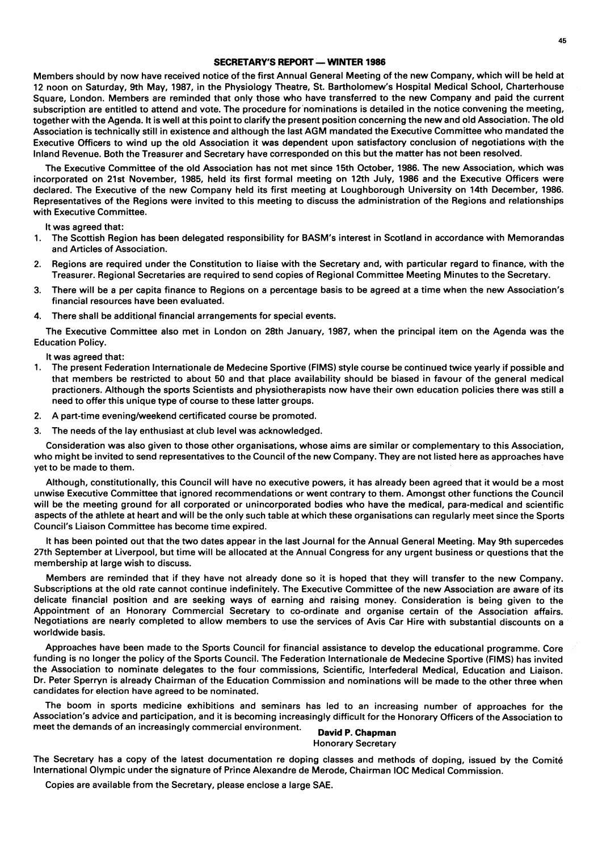#### SECRETARY'S REPORT - WINTER 1986

Members should by now have received notice of the first Annual General Meeting of the new Company, which will be held at 12 noon on Saturday, 9th May, 1987, in the Physiology Theatre, St. Bartholomew's Hospital Medical School, Charterhouse Square, London. Members are reminded that only those who have transferred to the new Company and paid the current subscription are entitled to attend and vote. The procedure for'nominations is detailed in the notice convening the meeting, together with the Agenda. It is well at this point to clarify the present position concerning the new and old Association. The old Association is technically still in existence and although the last AGM mandated the Executive Committee who mandated the Executive Officers to wind up the old Association it was dependent upon satisfactory conclusion of negotiations with the Inland Revenue. Both the Treasurer and Secretary have corresponded on this but the matter has not been resolved.

The Executive Committee of the old Association has not met since 15th October, 1986. The new Association, which was incorporated on 21st November, 1985, held its first formal meeting on 12th July, 1986 and the Executive Officers were declared. The Executive of the new Company held its first meeting at Loughborough University on 14th December, 1986. Representatives of the Regions were invited to this meeting to discuss the administration of the Regions and relationships with Executive Committee.

It was agreed that:

- 1. The Scottish Region has been delegated responsibility for BASM's interest in Scotland in accordance with Memorandas and Articles of Association.
- 2. Regions are required under the Constitution to liaise with the Secretary and, with particular regard to finance, with the Treasurer. Regional Secretaries are required to send copies of Regional Committee Meeting Minutes to the Secretary.
- 3. There will be <sup>a</sup> per capita finance to Regions on <sup>a</sup> percentage basis to be agreed at <sup>a</sup> time when the new Association's financial resources have been evaluated.
- 4. There shall be additional financial arrangements for special events.

The Executive Committee also met in London on 28th January, 1987, when the principal item on the Agenda was the Education Policy.

It was agreed that:

- 1. The present Federation Internationale de Medecine Sportive (FIMS) style course be continued twice yearly if possible and that members be restricted to about 50 and that place availability should be biased in favour of the general medical practioners. Although the sports Scientists and physiotherapists now have their own education policies there was still <sup>a</sup> need to offer this unique type of course to these latter groups.
- 2. A part-time evening/weekend certificated course be promoted.
- 3. The needs of the lay enthusiast at club level was acknowledged.

Consideration was also given to those other organisations, whose aims are similar or complementary to this Association, who might be invited to send representatives to the Council of the new Company. They are not listed here as approaches have yet to be made to them.

Although, constitutionally, this Council will have no executive powers, it has already been agreed that it would be a most unwise Executive Committee that ignored recommendations or went contrary to them. Amongst other functions the Council will be the meeting ground for all corporated or unincorporated bodies who have the medical, para-medical and scientific aspects of the athlete at heart and will be the only such table at which these organisations can regularly meet since the Sports Council's Liaison Committee has become time expired.

It has been pointed out that the two dates appear in the last Journal for the Annual General Meeting. May 9th supercedes 27th September at Liverpool, but time will be allocated at the Annual Congress for any urgent business or questions that the membership at large wish to discuss.

Members are reminded that if they have not already done so it is hoped that they will transfer to the new Company. Subscriptions at the old rate cannot continue indefinitely. The Executive Committee of the new Association are aware of its delicate financial position and are seeking ways of earning and raising money. Consideration is being given to the Appointment of an Honorary Commercial Secretary to co-ordinate and organise certain of the Association affairs. Negotiations are nearly completed to allow members to use the services of Avis Car Hire with substantial discounts on <sup>a</sup> worldwide basis.

Approaches have been made to the Sports Council for financial assistance to develop the educational programme. Core funding is no longer the policy of the Sports Council. The Federation Internationale de Medecine Sportive (FIMS) has invited the Association to nominate delegates to the four commissions, Scientific, Interfederal Medical, Education and Liaison. Dr. Peter Sperryn is already Chairman of the Education Commission and nominations will be made to the other three when candidates for election have agreed to be nominated.

The boom in sports medicine exhibitions and seminars has led to an increasing number of approaches for the Association's advice and participation, and it is becoming increasingly difficult for the Honorary Officers of the Association to meet the demands of an increasingly commercial environment. David P. Chapman

# Honorary Secretary

The Secretary has <sup>a</sup> copy of the latest documentation re doping classes and methods of doping, issued by the Comit6 International Olympic under the signature of Prince Alexandre de Merode, Chairman IOC Medical Commission.

Copies are available from the Secretary, please enclose a large SAE.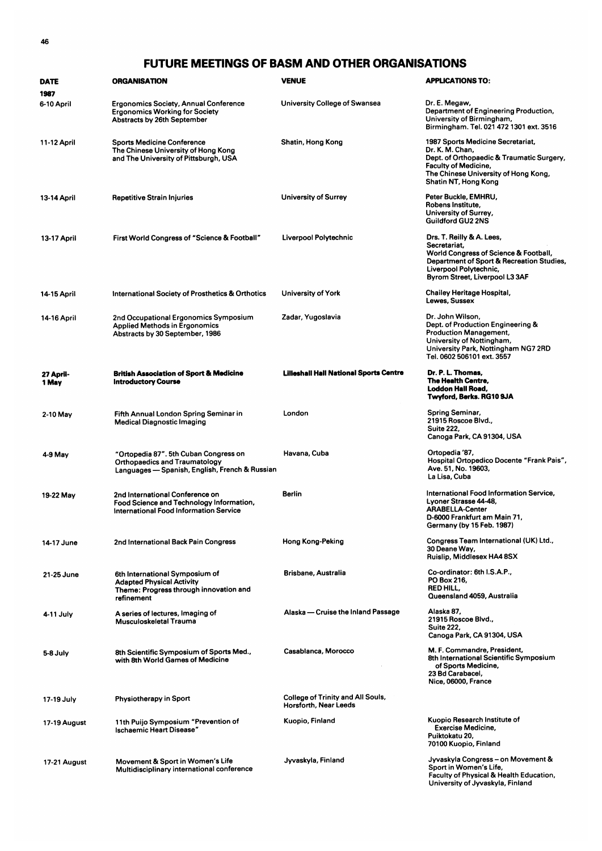## FUTURE MEETINGS OF BASM AND OTHER ORGANISATIONS

| <b>DATE</b>        | <b>ORGANISATION</b>                                                                                                             | <b>VENUE</b>                                               | <b>APPLICATIONS TO:</b>                                                                                                                                                                          |
|--------------------|---------------------------------------------------------------------------------------------------------------------------------|------------------------------------------------------------|--------------------------------------------------------------------------------------------------------------------------------------------------------------------------------------------------|
| 1987               |                                                                                                                                 |                                                            |                                                                                                                                                                                                  |
| 6-10 April         | <b>Ergonomics Society, Annual Conference</b><br><b>Ergonomics Working for Society</b><br>Abstracts by 26th September            | University College of Swansea                              | Dr. E. Megaw,<br>Department of Engineering Production,<br>University of Birmingham,<br>Birmingham. Tel. 021 472 1301 ext. 3516                                                                   |
| 11-12 April        | <b>Sports Medicine Conference</b><br>The Chinese University of Hong Kong<br>and The University of Pittsburgh, USA               | Shatin, Hong Kong                                          | 1987 Sports Medicine Secretariat,<br>Dr. K. M. Chan.<br>Dept. of Orthopaedic & Traumatic Surgery,<br><b>Faculty of Medicine,</b><br>The Chinese University of Hong Kong,<br>Shatin NT, Hong Kong |
| 13-14 April        | <b>Repetitive Strain Injuries</b>                                                                                               | University of Surrey                                       | Peter Buckle, EMHRU,<br>Robens Institute,<br>University of Surrey,<br><b>Guildford GU2 2NS</b>                                                                                                   |
| 13-17 April        | First World Congress of "Science & Football"                                                                                    | Liverpool Polytechnic                                      | Drs. T. Reilly & A. Lees,<br>Secretariat,<br>World Congress of Science & Football,<br>Department of Sport & Recreation Studies,<br>Liverpool Polytechnic,<br>Byrom Street, Liverpool L3 3AF      |
| 14-15 April        | International Society of Prosthetics & Orthotics                                                                                | University of York                                         | Chailey Heritage Hospital,<br>Lewes, Sussex                                                                                                                                                      |
| 14-16 April        | 2nd Occupational Ergonomics Symposium<br><b>Applied Methods in Ergonomics</b><br>Abstracts by 30 September, 1986                | Zadar, Yugoslavia                                          | Dr. John Wilson,<br>Dept. of Production Engineering &<br><b>Production Management,</b><br>University of Nottingham,<br>University Park, Nottingham NG7 2RD<br>Tel. 0602 506101 ext. 3557         |
| 27 April-<br>1 May | <b>British Association of Sport &amp; Medicine</b><br><b>Introductory Course</b>                                                | <b>Lilleshall Hall National Sports Centre</b>              | Dr. P. L. Thomas,<br>The Health Centre,<br><b>Loddon Hall Road,</b><br>Twyford, Berks. RG10 9JA                                                                                                  |
| 2-10 May           | Fifth Annual London Spring Seminar in<br><b>Medical Diagnostic Imaging</b>                                                      | London                                                     | <b>Spring Seminar,</b><br>21915 Roscoe Blvd.,<br><b>Suite 222,</b><br>Canoga Park, CA 91304, USA                                                                                                 |
| 4-9 May            | "Ortopedia 87". 5th Cuban Congress on<br><b>Orthopaedics and Traumatology</b><br>Languages — Spanish, English, French & Russian | Havana, Cuba                                               | Ortopedia '87,<br>Hospital Ortopedico Docente "Frank Pais",<br>Ave. 51, No. 19603,<br>La Lisa, Cuba                                                                                              |
| 19-22 May          | 2nd International Conference on<br>Food Science and Technology Information,<br>International Food Information Service           | <b>Berlin</b>                                              | International Food Information Service,<br>Lyoner Strasse 44-48,<br><b>ARABELLA-Center</b><br>D-6000 Frankfurt am Main 71,<br>Germany (by 15 Feb. 1987)                                          |
| 14-17 June         | 2nd International Back Pain Congress                                                                                            | Hong Kong-Peking                                           | Congress Team International (UK) Ltd.,<br>30 Deane Way,<br>Ruislip, Middlesex HA4 8SX                                                                                                            |
| 21-25 June         | 6th International Symposium of<br><b>Adapted Physical Activity</b><br>Theme: Progress through innovation and<br>refinement      | Brisbane, Australia                                        | Co-ordinator: 6th I.S.A.P.,<br>PO Box 216,<br>RED HILL,<br>Queensland 4059, Australia                                                                                                            |
| 4-11 July          | A series of lectures, Imaging of<br>Musculoskeletal Trauma                                                                      | Alaska — Cruise the Inland Passage                         | Alaska 87,<br>21915 Roscoe Blvd.,<br><b>Suite 222,</b><br>Canoga Park, CA 91304, USA                                                                                                             |
| 5-8 July           | 8th Scientific Symposium of Sports Med.,<br>with 8th World Games of Medicine                                                    | Casablanca, Morocco                                        | M. F. Commandre, President,<br>8th International Scientific Symposium<br>of Sports Medicine,<br>23 Bd Carabacel,<br>Nice, 06000, France                                                          |
| 17-19 July         | <b>Physiotherapy in Sport</b>                                                                                                   | College of Trinity and All Souls,<br>Horsforth, Near Leeds |                                                                                                                                                                                                  |
| 17-19 August       | 11th Puijo Symposium "Prevention of<br>Ischaemic Heart Disease"                                                                 | Kuopio, Finland                                            | Kuopio Research Institute of<br><b>Exercise Medicine.</b><br>Puiktokatu 20,<br>70100 Kuopio, Finland                                                                                             |
| 17-21 August       | Movement & Sport in Women's Life<br>Multidisciplinary international conference                                                  | Jyvaskyla, Finland                                         | Jyvaskyla Congress – on Movement &<br>Sport in Women's Life,<br><b>Faculty of Physical &amp; Health Education,</b><br>University of Jyvaskyla, Finland                                           |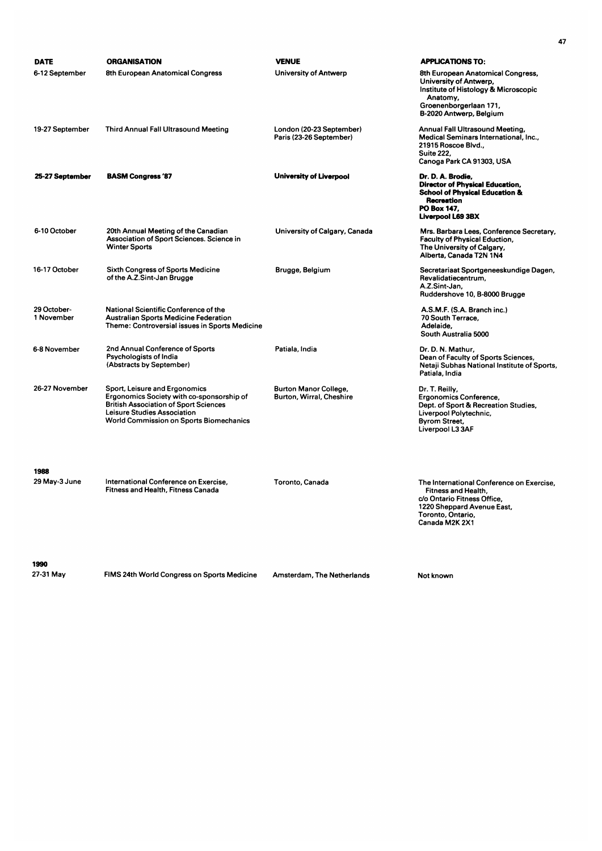| DATE                      | <b>ORGANISATION</b>                                                                                                                                                                                                | <b>VENUE</b>                                        | <b>APPLICATIONS TO:</b>                                                                                                                                              |
|---------------------------|--------------------------------------------------------------------------------------------------------------------------------------------------------------------------------------------------------------------|-----------------------------------------------------|----------------------------------------------------------------------------------------------------------------------------------------------------------------------|
| 6-12 September            | 8th European Anatomical Congress                                                                                                                                                                                   | University of Antwerp                               | 8th European Anatomical Congress,<br>University of Antwerp,<br>Institute of Histology & Microscopic<br>Anatomy,<br>Groenenborgerlaan 171,<br>B-2020 Antwerp, Belgium |
| 19-27 September           | <b>Third Annual Fall Ultrasound Meeting</b>                                                                                                                                                                        | London (20-23 September)<br>Paris (23-26 September) | Annual Fall Ultrasound Meeting,<br>Medical Seminars International, Inc.,<br>21915 Roscoe Blvd.,<br><b>Suite 222,</b><br>Canoga Park CA 91303, USA                    |
| 25-27 September           | <b>BASM Congress '87</b>                                                                                                                                                                                           | <b>University of Liverpool</b>                      | Dr. D. A. Brodie,<br><b>Director of Physical Education,</b><br><b>School of Physical Education &amp;</b><br>Recreation<br>PO Box 147.<br>Liverpool L69 3BX           |
| 6-10 October              | 20th Annual Meeting of the Canadian<br>Association of Sport Sciences. Science in<br><b>Winter Sports</b>                                                                                                           | University of Calgary, Canada                       | Mrs. Barbara Lees, Conference Secretary,<br><b>Faculty of Physical Eduction,</b><br>The University of Calgary,<br>Alberta, Canada T2N 1N4                            |
| 16-17 October             | <b>Sixth Congress of Sports Medicine</b><br>of the A.Z.Sint-Jan Brugge                                                                                                                                             | Brugge, Belgium                                     | Secretariaat Sportgeneeskundige Dagen,<br>Revalidatiecentrum,<br>A.Z.Sint-Jan,<br>Ruddershove 10, B-8000 Brugge                                                      |
| 29 October-<br>1 November | National Scientific Conference of the<br><b>Australian Sports Medicine Federation</b><br>Theme: Controversial issues in Sports Medicine                                                                            |                                                     | A.S.M.F. (S.A. Branch inc.)<br>70 South Terrace.<br>Adelaide.<br>South Australia 5000                                                                                |
| 6-8 November              | 2nd Annual Conference of Sports<br>Psychologists of India<br>(Abstracts by September)                                                                                                                              | Patiala, India                                      | Dr. D. N. Mathur,<br>Dean of Faculty of Sports Sciences,<br>Netaji Subhas National Institute of Sports,<br>Patiala, India                                            |
| 26-27 November            | Sport, Leisure and Ergonomics<br>Ergonomics Society with co-sponsorship of<br><b>British Association of Sport Sciences</b><br><b>Leisure Studies Association</b><br><b>World Commission on Sports Biomechanics</b> | Burton Manor College,<br>Burton, Wirral, Cheshire   | Dr. T. Reilly,<br><b>Ergonomics Conference,</b><br>Dept. of Sport & Recreation Studies,<br>Liverpool Polytechnic,<br><b>Byrom Street,</b><br>Liverpool L3 3AF        |
| 1988                      |                                                                                                                                                                                                                    |                                                     |                                                                                                                                                                      |
| 29 May-3 June             | International Conference on Exercise,<br>Fitness and Health, Fitness Canada                                                                                                                                        | Toronto, Canada                                     | The International Conference on Exercise.<br>Fitness and Health,<br>c/o Ontario Fitness Office,<br>1220 Sheppard Avenue East,<br>Toronto, Ontario,<br>Canada M2K 2X1 |
| 1990                      |                                                                                                                                                                                                                    |                                                     |                                                                                                                                                                      |

FIMS 24th World Congress on Sports Medicine 27-31 May Amsterdam, The Netherlands Not known

47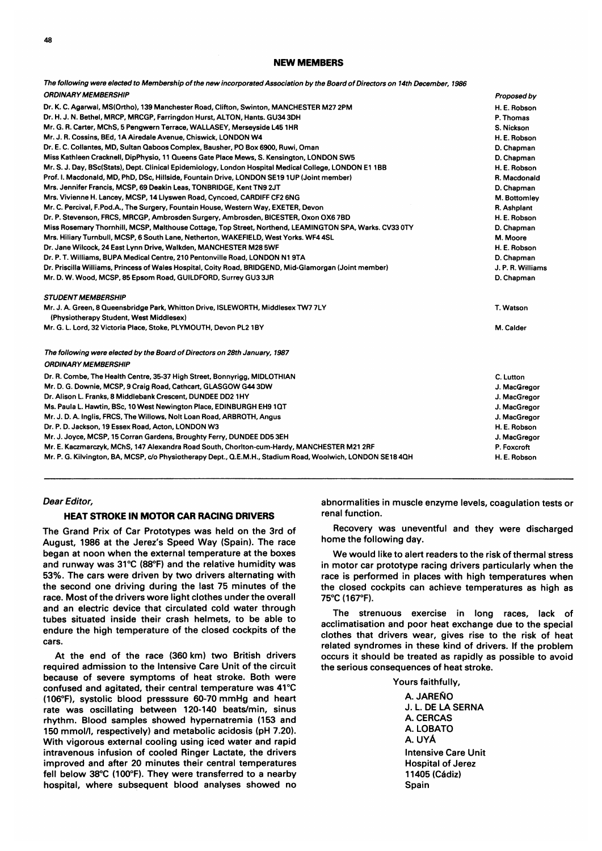#### NEW MEMBERS

| The following were elected to Membership of the new incorporated Association by the Board of Directors on 14th December, 1986 |                   |
|-------------------------------------------------------------------------------------------------------------------------------|-------------------|
| <b>ORDINARY MEMBERSHIP</b>                                                                                                    | Proposed by       |
| Dr. K. C. Agarwal, MS(Ortho), 139 Manchester Road, Clifton, Swinton, MANCHESTER M27 2PM                                       | H. E. Robson      |
| Dr. H. J. N. Bethel, MRCP, MRCGP, Farringdon Hurst, ALTON, Hants. GU34 3DH                                                    | P. Thomas         |
| Mr. G. R. Carter, MChS, 5 Pengwern Terrace, WALLASEY, Merseyside L45 1HR                                                      | S. Nickson        |
| Mr. J. R. Cossins, BEd, 1A Airedale Avenue, Chiswick, LONDON W4                                                               | H. E. Robson      |
| Dr. E. C. Collantes, MD, Sultan Qaboos Complex, Bausher, PO Box 6900, Ruwi, Oman                                              | D. Chapman        |
| Miss Kathleen Cracknell, DipPhysio, 11 Queens Gate Place Mews, S. Kensington, LONDON SW5                                      | D. Chapman        |
| Mr. S. J. Day, BSc(Stats), Dept. Clinical Epidemiology, London Hospital Medical College, LONDON E1 1BB                        | H. E. Robson      |
| Prof. I. Macdonald, MD, PhD, DSc, Hillside, Fountain Drive, LONDON SE19 1UP (Joint member)                                    | R. Macdonald      |
| Mrs. Jennifer Francis, MCSP, 69 Deakin Leas, TONBRIDGE, Kent TN9 2JT                                                          | D. Chapman        |
| Mrs. Vivienne H. Lancey, MCSP, 14 Llyswen Road, Cyncoed, CARDIFF CF2 6NG                                                      | M. Bottomley      |
| Mr. C. Percival, F.Pod.A., The Surgery, Fountain House, Western Way, EXETER, Devon                                            | R. Ashplant       |
| Dr. P. Stevenson, FRCS, MRCGP, Ambrosden Surgery, Ambrosden, BICESTER, Oxon OX6 7BD                                           | H. E. Robson      |
| Miss Rosemary Thornhill, MCSP, Malthouse Cottage, Top Street, Northend, LEAMINGTON SPA, Warks. CV33 0TY                       | D. Chapman        |
| Mrs. Hiliary Turnbull, MCSP, 6 South Lane, Netherton, WAKEFIELD, West Yorks. WF4 4SL                                          | M. Moore          |
| Dr. Jane Wilcock, 24 East Lynn Drive, Walkden, MANCHESTER M28 5WF                                                             | H. E. Robson      |
| Dr. P. T. Williams, BUPA Medical Centre, 210 Pentonville Road, LONDON N1 9TA                                                  | D. Chapman        |
| Dr. Priscilla Williams, Princess of Wales Hospital, Coity Road, BRIDGEND, Mid-Glamorgan (Joint member)                        | J. P. R. Williams |
| Mr. D. W. Wood, MCSP, 85 Epsom Road, GUILDFORD, Surrey GU3 3JR                                                                | D. Chapman        |
| <b>STUDENT MEMBERSHIP</b>                                                                                                     |                   |
| Mr. J. A. Green, 8 Queensbridge Park, Whitton Drive, ISLEWORTH, Middlesex TW7 7LY<br>(Physiotherapy Student, West Middlesex)  | T. Watson         |
| Mr. G. L. Lord, 32 Victoria Place, Stoke, PLYMOUTH, Devon PL2 1BY                                                             | M. Calder         |
| The following were elected by the Board of Directors on 28th January, 1987                                                    |                   |
| <b>ORDINARY MEMBERSHIP</b>                                                                                                    |                   |
| Dr. R. Combe, The Health Centre, 35-37 High Street, Bonnyrigg, MIDLOTHIAN                                                     | C. Lutton         |
| Mr. D. G. Downie, MCSP, 9 Craig Road, Cathcart, GLASGOW G44 3DW                                                               | J. MacGregor      |
| Dr. Alison L. Franks, 8 Middlebank Crescent, DUNDEE DD2 1HY                                                                   | J. MacGregor      |
| Ms. Paula L. Hawtin, BSc, 10 West Newington Place, EDINBURGH EH9 1QT                                                          | J. MacGregor      |
| Mr. J. D. A. Inglis, FRCS, The Willows, Nolt Loan Road, ARBROTH, Angus                                                        | J. MacGregor      |
| Dr. P. D. Jackson, 19 Essex Road, Acton, LONDON W3                                                                            | H. E. Robson      |
| Mr. J. Joyce, MCSP, 15 Corran Gardens, Broughty Ferry, DUNDEE DD5 3EH                                                         | J. MacGregor      |
| Mr. E. Kaczmarczyk, MChS, 147 Alexandra Road South, Choriton-cum-Hardy, MANCHESTER M21 2RF                                    | P. Foxcroft       |
| Mr. P. G. Kilvington, BA, MCSP, c/o Physiotherapy Dept., Q.E.M.H., Stadium Road, Woolwich, LONDON SE18 4QH                    | H. E. Robson      |
|                                                                                                                               |                   |

#### Dear Editor,

#### HEAT STROKE IN MOTOR CAR RACING DRIVERS

The Grand Prix of Car Prototypes was held on the 3rd of August, 1986 at the Jerez's Speed Way (Spain). The race began at noon when the external temperature at the boxes and runway was  $31^{\circ}$ C (88 $^{\circ}$ F) and the relative humidity was 53%. The cars were driven by two drivers alternating with the second one driving during the last 75 minutes of the race. Most of the drivers wore light clothes under the overall and an electric device that circulated cold water through tubes situated inside their crash helmets, to be able to endure the high temperature of the closed cockpits of the cars.

At the end of the race (360 km) two British drivers required admission to the Intensive Care Unit of the circuit because of severe symptoms of heat stroke. Both were confused and agitated, their central temperature was 41°C (106°F), systolic blood presssure 60-70 mmHg and heart rate was oscillating between 120-140 beats/min, sinus rhythm. Blood samples showed hypernatremia (153 and 150 mmol/l, respectively) and metabolic acidosis (pH 7.20). With vigorous external cooling using iced water and rapid intravenous infusion of cooled Ringer Lactate, the drivers improved and after 20 minutes their central temperatures fell below 38°C (100°F). They were transferred to a nearby hospital, where subsequent blood analyses showed no abnormalities in muscle enzyme levels, coagulation tests or renal function.

Recovery was uneventful and they were discharged home the following day.

We would like to alert readers to the risk of thermal stress in motor car prototype racing drivers particularly when the race is performed in places with high temperatures when the closed cockpits can achieve temperatures as high as 75°C (167°F).

The strenuous exercise in long races, lack of acclimatisation and poor heat exchange due to the special clothes that drivers wear, gives rise to the risk of heat related syndromes in these kind of drivers. If the problem occurs it should be treated as rapidly as possible to avoid the serious consequences of heat stroke.

Yours faithfully,

A. JAREÑO J. L. DE LA SERNA A. CERCAS A. LOBATO A. uYA Intensive Care Unit Hospital of Jerez 11405 (Cádiz) Spain